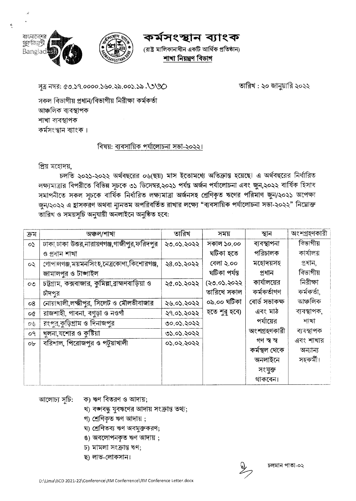কৰ্মসংস্থান ব্যাংক

(রাষ্ট্র মালিকানাধীন একটি আর্থিক প্রতিষ্ঠান) শাখা নিয়ন্ত্ৰণ বিভাগ

সূত্র নম্বর: ৫৩.১৭.০০০০.১৬০.২৯.০০১.১৯.৩৩৩০

তারিখ : ২০ জানুয়ারি ২০২২

সকল বিভাগীয় প্রধান/বিভাগীয় নিরীক্ষা কর্মকর্তা আঞ্চলিক ব্যবস্থাপক শাখা ব্যবস্থাপক কৰ্মসংস্থান ব্যাংক ।

## বিষয়: ব্যবসায়িক পর্যালোচনা সভা-২০২২।

প্ৰিয় মহোদয়,

বাংনাদেশের সূর্যজয়ন্তী

Banglad

চলতি ২০২১-২০২২ অর্থবছরের ০৬(ছয়) মাস ইতোমধ্যে অতিক্রান্ত হয়েছে। এ অর্থবছরের নির্ধারিত লক্ষ্যমাত্রার বিপরীতে বিভিন্ন সূচকে ৩১ ডিসেম্বর,২০২১ পর্যন্ত অর্জন পর্যালোচনা এবং জুন,২০২২ বার্ষিক হিসাব সমাপনীতে সকল সচকে বাৰ্ষিক নিৰ্ধারিত লক্ষ্যমাত্রা অর্জনসহ শ্রেণিকৃত ঋণের পরিমাণ জুন/২০২১ অপেক্ষা জুন/২০২২ এ হ্রাসকরণ অথবা ন্যূনতম অপরিবর্তিত রাখার লক্ষ্যে "ব্যবসায়িক পর্যালোচনা সভা-২০২২" নিয়োক্ত তারিখ ও সময়সূচি অনুযায়ী অনলাইনে অনুষ্ঠিত হবে:

| ক্ৰম         | অঞ্চল/শাখা                                        | তারিখ      | সময়          | স্থান         | অংশগ্ৰহণকারী |
|--------------|---------------------------------------------------|------------|---------------|---------------|--------------|
| $\mathbf{Q}$ | ঢাকা ঢাকা উত্তর,নারায়ণগঞ্জ,গাজীপুর,ফরিদপুর       | ২৩.০১.২০২২ | সকাল ১০.০০    | ব্যবস্থাপনা   | বিভাগীয়     |
|              | ও প্ৰধান শাখা                                     |            | ঘটিকা হতে     | পরিচালক       | কাৰ্যালয়    |
| $\infty$     | গোপালগঞ্জ,ময়মনসিংহ,নেত্ৰকোণা,কিশোরগঞ্জ,          | ২৪.০১.২০২২ | বেলা ২.০০     | মহোদয়সহ      | প্ৰধান,      |
|              | জামালপুর ও টাঙ্গাইল                               |            | ঘটিকা পৰ্যন্ত | প্ৰধান        | বিভাগীয়     |
| OQ           | চট্টগ্রাম, কক্সবাজার, কুমিল্লা,ব্রাহ্মণবাড়িয়া ও | ২৫.০১.২০২২ | (২৩.০১.২০২২   | কার্যালয়ের   | নিরীক্ষা     |
|              | চীদপুর                                            |            | তারিখে সকাল   | কৰ্মকৰ্তাগণ   | কৰ্মকৰ্তা,   |
| 08           | নোয়াখালী,লক্ষ্মীপুর, সিলেট ও মৌলভীবাজার          | ২৬.০১.২০২২ | ০৯.০০ ঘটিকা   | বোৰ্ড সভাকক্ষ | আঞ্চলিক      |
| o¢           | রাজশাহী, পাবনা, বগুড়া ও নওগাঁ                    | ২৭.০১.২০২২ | হতে শুরু হবে) | এবং মাঠ       | ব্যবস্থাপক,  |
| O(b)         | রংপুর,কুড়িগ্রাম ও দিনাজপুর                       | ৩০.০১.২০২২ |               | পর্যায়ের     | শাখা         |
| οq           | খুলনা,যশোর ও কুষ্টিয়া                            | ৩১.০১.২০২২ |               | অংশগ্ৰহণকারী  | ব্যবস্থাপক   |
| $o$ b        | বরিশাল, পিরোজপুর ও পটুয়াখালী                     | ०১.०২.২০২২ |               | গণ স্ব স্ব    | এবং শাখার    |
|              |                                                   |            |               | কৰ্মস্থল থেকে | অন্যান্য     |
|              |                                                   |            |               | অনলাইনে       | সহকৰ্মী।     |
|              |                                                   |            |               | সংযুক্ত       |              |
|              |                                                   |            |               | থাকবেন।       |              |

আলোচ্য সচি:

- ক) ঋণ বিতরণ ও আদায়;
- খ) বজাবন্ধু যুবঋণের আদায় সংক্রান্ত তথ্য;
- গ) শ্ৰেণিকৃত ঋণ আদায় ;
- ঘ) শ্রেণিতব্য ঋণ অবমুক্তকরণ;
- ঙ) অবলোপনকৃত ঋণ আদায় ;
- চ) মামলা সংক্রান্ত ঋণ;
- ছ) লাভ-লোকসান।